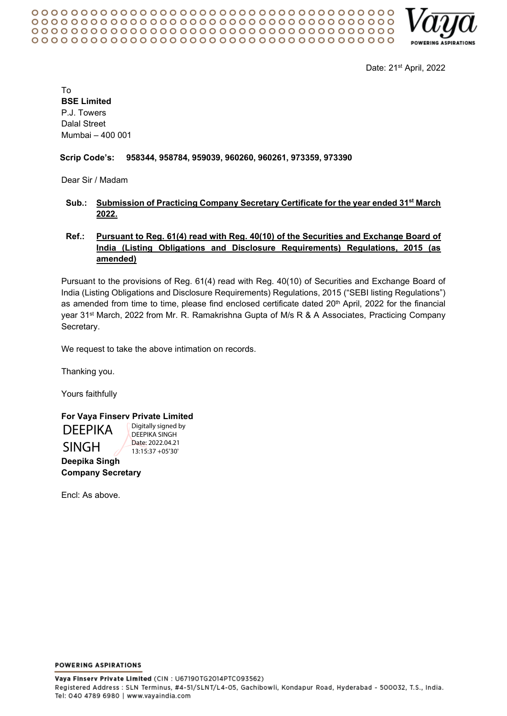

Date: 21st April, 2022

To **BSE Limited** P.J. Towers Dalal Street Mumbai – 400 001

### **Scrip Code's: 958344, 958784, 959039, 960260, 960261, 973359, 973390**

Dear Sir / Madam

## **Sub.: Submission of Practicing Company Secretary Certificate for the year ended 31st March 2022.**

# **Ref.: Pursuant to Reg. 61(4) read with Reg. 40(10) of the Securities and Exchange Board of India (Listing Obligations and Disclosure Requirements) Regulations, 2015 (as amended)**

Pursuant to the provisions of Reg. 61(4) read with Reg. 40(10) of Securities and Exchange Board of India (Listing Obligations and Disclosure Requirements) Regulations, 2015 ("SEBI listing Regulations") as amended from time to time, please find enclosed certificate dated 20<sup>th</sup> April, 2022 for the financial year 31st March, 2022 from Mr. R. Ramakrishna Gupta of M/s R & A Associates, Practicing Company Secretary.

We request to take the above intimation on records.

Thanking you.

Yours faithfully

**For Vaya Finserv Private Limited** Digitally signed by

**Deepika Singh Company Secretary DEEPIKA** SINGH

DEEPIKA SINGH Date: 2022.04.21 13:15:37 +05'30'

Encl: As above.

**POWERING ASPIRATIONS**